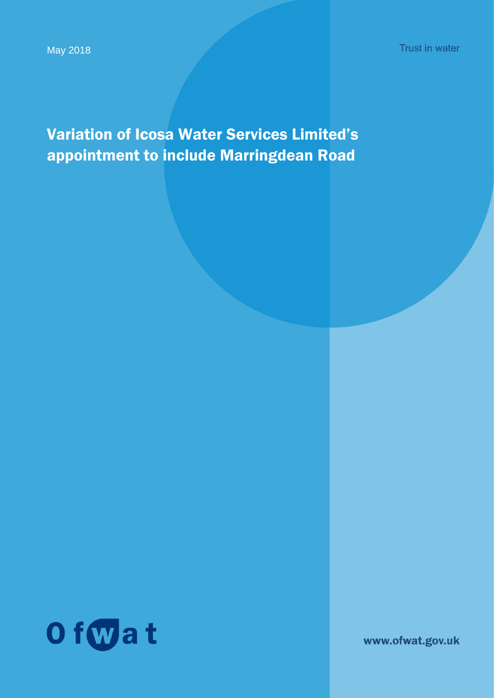Variation of Icosa Water Services Limited's appointment to include Marringdean Road



www.ofwat.gov.uk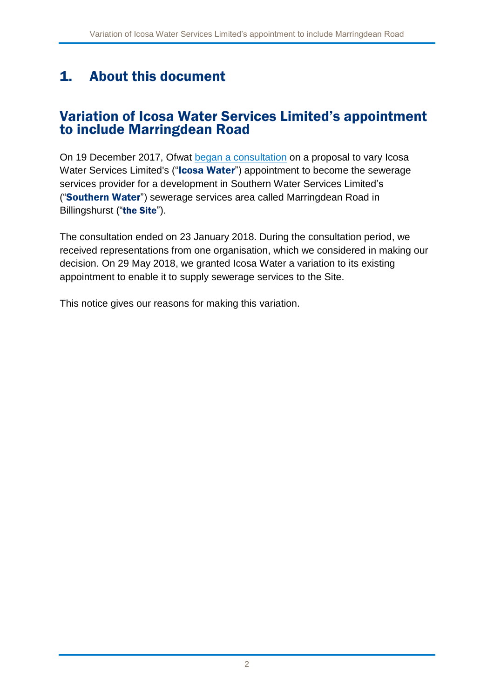## 1. About this document

### Variation of Icosa Water Services Limited's appointment to include Marringdean Road

On 19 December 2017, Ofwat [began a consultation](https://ofwat.sharepoint.com/sites/rms/pr-moe/fp-lp/NAV%20-%20Marringdean%20Road%20-%20OFW0016708/Final%20decision%20documents/17%2012%2018%20-%20Marringdean%20Road%20-%20consultation%20notice.pdf) on a proposal to vary Icosa Water Services Limited's ("Icosa Water") appointment to become the sewerage services provider for a development in Southern Water Services Limited's ("Southern Water") sewerage services area called Marringdean Road in Billingshurst ("the Site").

The consultation ended on 23 January 2018. During the consultation period, we received representations from one organisation, which we considered in making our decision. On 29 May 2018, we granted Icosa Water a variation to its existing appointment to enable it to supply sewerage services to the Site.

This notice gives our reasons for making this variation.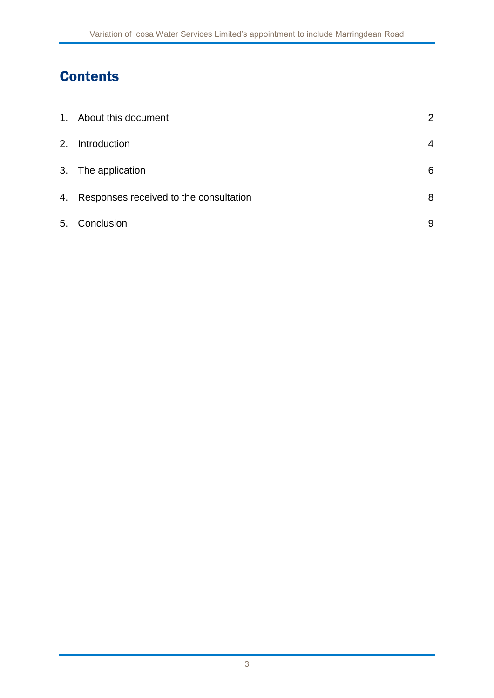# **Contents**

|    | 1. About this document                    | $\overline{2}$ |
|----|-------------------------------------------|----------------|
|    | 2. Introduction                           | $\overline{4}$ |
|    | 3. The application                        | 6              |
|    | 4. Responses received to the consultation | 8              |
| 5. | Conclusion                                | 9              |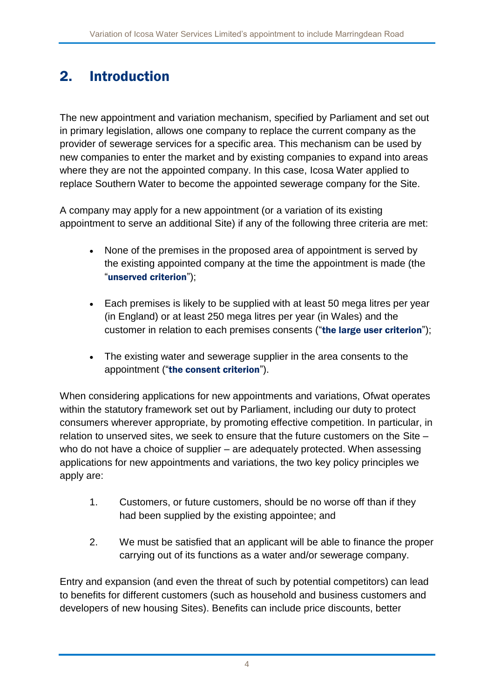## 2. Introduction

The new appointment and variation mechanism, specified by Parliament and set out in primary legislation, allows one company to replace the current company as the provider of sewerage services for a specific area. This mechanism can be used by new companies to enter the market and by existing companies to expand into areas where they are not the appointed company. In this case, Icosa Water applied to replace Southern Water to become the appointed sewerage company for the Site.

A company may apply for a new appointment (or a variation of its existing appointment to serve an additional Site) if any of the following three criteria are met:

- None of the premises in the proposed area of appointment is served by the existing appointed company at the time the appointment is made (the "unserved criterion");
- Each premises is likely to be supplied with at least 50 mega litres per year (in England) or at least 250 mega litres per year (in Wales) and the customer in relation to each premises consents ("the large user criterion");
- The existing water and sewerage supplier in the area consents to the appointment ("the consent criterion").

When considering applications for new appointments and variations, Ofwat operates within the statutory framework set out by Parliament, including our duty to protect consumers wherever appropriate, by promoting effective competition. In particular, in relation to unserved sites, we seek to ensure that the future customers on the Site – who do not have a choice of supplier – are adequately protected. When assessing applications for new appointments and variations, the two key policy principles we apply are:

- 1. Customers, or future customers, should be no worse off than if they had been supplied by the existing appointee; and
- 2. We must be satisfied that an applicant will be able to finance the proper carrying out of its functions as a water and/or sewerage company.

Entry and expansion (and even the threat of such by potential competitors) can lead to benefits for different customers (such as household and business customers and developers of new housing Sites). Benefits can include price discounts, better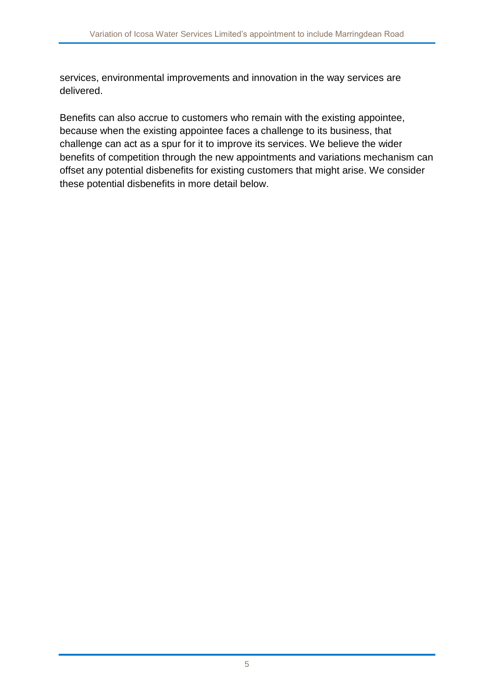services, environmental improvements and innovation in the way services are delivered.

Benefits can also accrue to customers who remain with the existing appointee, because when the existing appointee faces a challenge to its business, that challenge can act as a spur for it to improve its services. We believe the wider benefits of competition through the new appointments and variations mechanism can offset any potential disbenefits for existing customers that might arise. We consider these potential disbenefits in more detail below.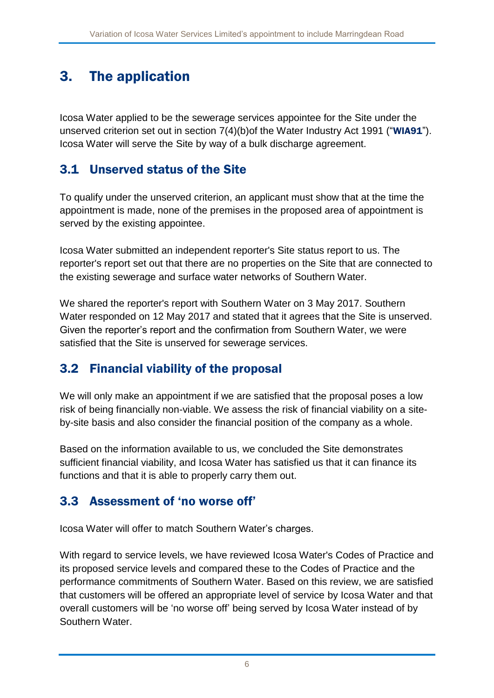## 3. The application

Icosa Water applied to be the sewerage services appointee for the Site under the unserved criterion set out in section 7(4)(b) of the Water Industry Act 1991 ("WIA91"). Icosa Water will serve the Site by way of a bulk discharge agreement.

#### 3.1 Unserved status of the Site

To qualify under the unserved criterion, an applicant must show that at the time the appointment is made, none of the premises in the proposed area of appointment is served by the existing appointee.

Icosa Water submitted an independent reporter's Site status report to us. The reporter's report set out that there are no properties on the Site that are connected to the existing sewerage and surface water networks of Southern Water.

We shared the reporter's report with Southern Water on 3 May 2017. Southern Water responded on 12 May 2017 and stated that it agrees that the Site is unserved. Given the reporter's report and the confirmation from Southern Water, we were satisfied that the Site is unserved for sewerage services.

### 3.2 Financial viability of the proposal

We will only make an appointment if we are satisfied that the proposal poses a low risk of being financially non-viable. We assess the risk of financial viability on a siteby-site basis and also consider the financial position of the company as a whole.

Based on the information available to us, we concluded the Site demonstrates sufficient financial viability, and Icosa Water has satisfied us that it can finance its functions and that it is able to properly carry them out.

#### 3.3 Assessment of 'no worse off'

Icosa Water will offer to match Southern Water's charges.

With regard to service levels, we have reviewed Icosa Water's Codes of Practice and its proposed service levels and compared these to the Codes of Practice and the performance commitments of Southern Water. Based on this review, we are satisfied that customers will be offered an appropriate level of service by Icosa Water and that overall customers will be 'no worse off' being served by Icosa Water instead of by Southern Water.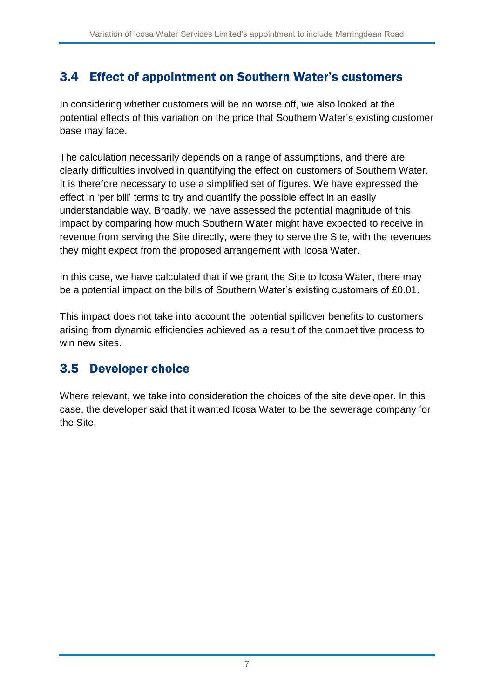### 3.4 Effect of appointment on Southern Water's customers

In considering whether customers will be no worse off, we also looked at the potential effects of this variation on the price that Southern Water's existing customer base may face.

The calculation necessarily depends on a range of assumptions, and there are clearly difficulties involved in quantifying the effect on customers of Southern Water. It is therefore necessary to use a simplified set of figures. We have expressed the effect in 'per bill' terms to try and quantify the possible effect in an easily understandable way. Broadly, we have assessed the potential magnitude of this impact by comparing how much Southern Water might have expected to receive in revenue from serving the Site directly, were they to serve the Site, with the revenues they might expect from the proposed arrangement with Icosa Water.

In this case, we have calculated that if we grant the Site to Icosa Water, there may be a potential impact on the bills of Southern Water's existing customers of £0.01.

This impact does not take into account the potential spillover benefits to customers arising from dynamic efficiencies achieved as a result of the competitive process to win new sites.

#### 3.5 Developer choice

Where relevant, we take into consideration the choices of the site developer. In this case, the developer said that it wanted Icosa Water to be the sewerage company for the Site.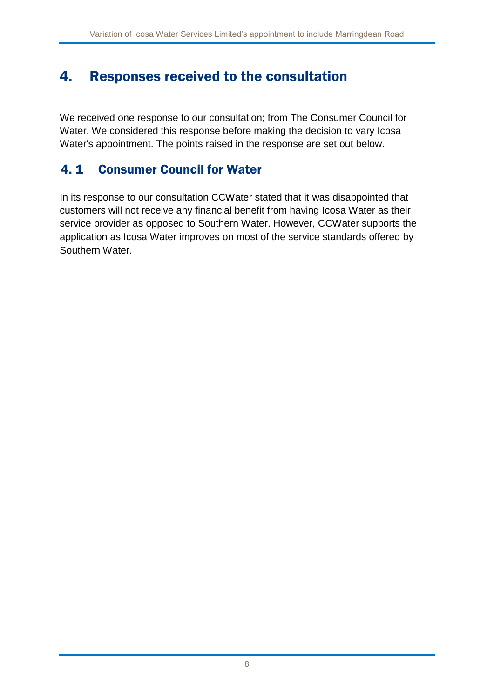### 4. Responses received to the consultation

We received one response to our consultation; from The Consumer Council for Water. We considered this response before making the decision to vary Icosa Water's appointment. The points raised in the response are set out below.

### 4. 1 Consumer Council for Water

In its response to our consultation CCWater stated that it was disappointed that customers will not receive any financial benefit from having Icosa Water as their service provider as opposed to Southern Water. However, CCWater supports the application as Icosa Water improves on most of the service standards offered by Southern Water.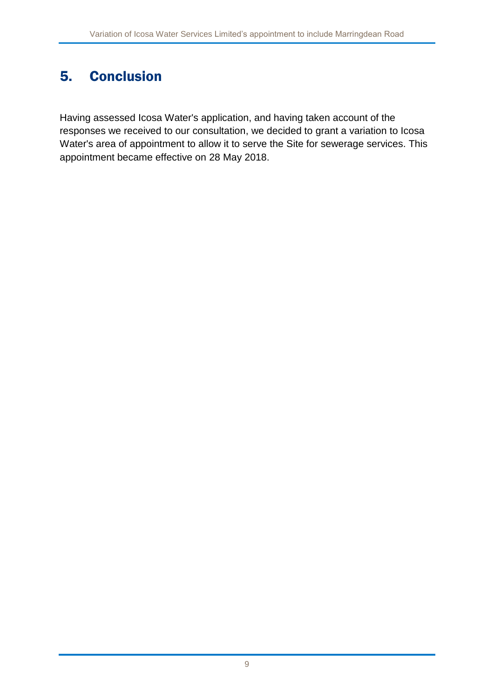# 5. Conclusion

Having assessed Icosa Water's application, and having taken account of the responses we received to our consultation, we decided to grant a variation to Icosa Water's area of appointment to allow it to serve the Site for sewerage services. This appointment became effective on 28 May 2018.